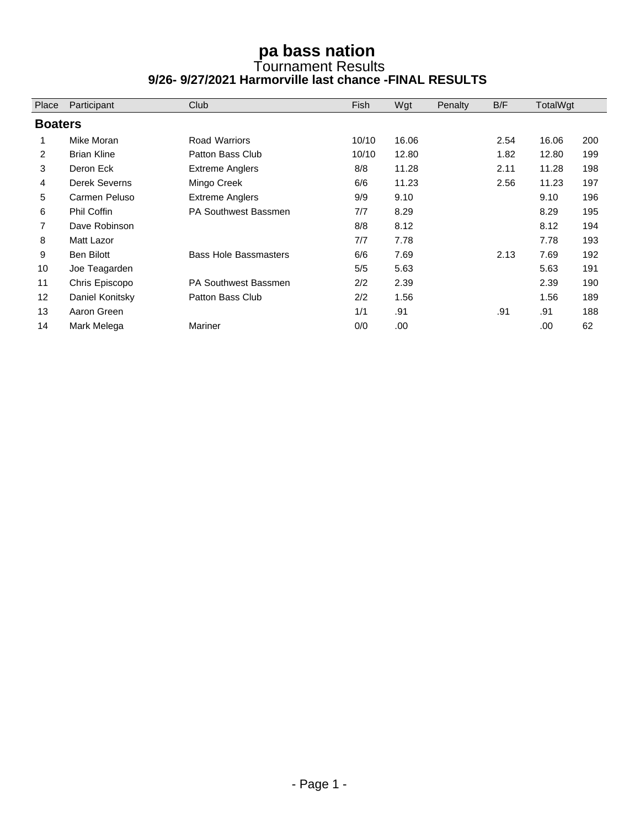## **pa bass nation**  Tournament Results **9/26- 9/27/2021 Harmorville last chance -FINAL RESULTS**

| Place          | Participant        | Club                         | Fish  | Wgt   | Penalty | B/F  | TotalWgt |     |  |  |  |
|----------------|--------------------|------------------------------|-------|-------|---------|------|----------|-----|--|--|--|
|                | <b>Boaters</b>     |                              |       |       |         |      |          |     |  |  |  |
|                | Mike Moran         | <b>Road Warriors</b>         | 10/10 | 16.06 |         | 2.54 | 16.06    | 200 |  |  |  |
| $\overline{2}$ | <b>Brian Kline</b> | Patton Bass Club             | 10/10 | 12.80 |         | 1.82 | 12.80    | 199 |  |  |  |
| 3              | Deron Eck          | <b>Extreme Anglers</b>       | 8/8   | 11.28 |         | 2.11 | 11.28    | 198 |  |  |  |
| 4              | Derek Severns      | Mingo Creek                  | 6/6   | 11.23 |         | 2.56 | 11.23    | 197 |  |  |  |
| 5              | Carmen Peluso      | <b>Extreme Anglers</b>       | 9/9   | 9.10  |         |      | 9.10     | 196 |  |  |  |
| 6              | Phil Coffin        | PA Southwest Bassmen         | 7/7   | 8.29  |         |      | 8.29     | 195 |  |  |  |
| $\overline{7}$ | Dave Robinson      |                              | 8/8   | 8.12  |         |      | 8.12     | 194 |  |  |  |
| 8              | Matt Lazor         |                              | 7/7   | 7.78  |         |      | 7.78     | 193 |  |  |  |
| 9              | Ben Bilott         | <b>Bass Hole Bassmasters</b> | 6/6   | 7.69  |         | 2.13 | 7.69     | 192 |  |  |  |
| 10             | Joe Teagarden      |                              | 5/5   | 5.63  |         |      | 5.63     | 191 |  |  |  |
| 11             | Chris Episcopo     | <b>PA Southwest Bassmen</b>  | 2/2   | 2.39  |         |      | 2.39     | 190 |  |  |  |
| 12             | Daniel Konitsky    | Patton Bass Club             | 2/2   | 1.56  |         |      | 1.56     | 189 |  |  |  |
| 13             | Aaron Green        |                              | 1/1   | .91   |         | .91  | .91      | 188 |  |  |  |
| 14             | Mark Melega        | <b>Mariner</b>               | 0/0   | .00   |         |      | .00      | 62  |  |  |  |
|                |                    |                              |       |       |         |      |          |     |  |  |  |